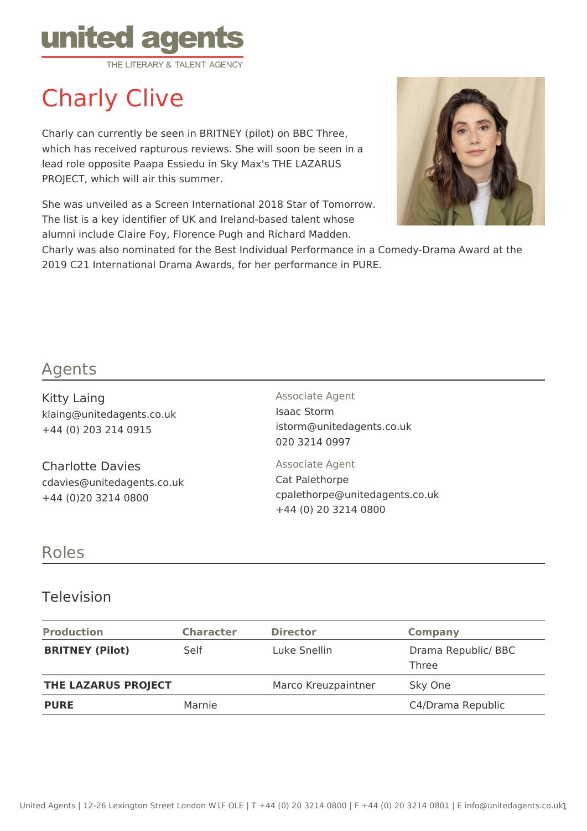

# Charly Clive

Charly can currently be seen in BRITNEY (pilot) on BBC Three, which has received rapturous reviews. She will soon be seen in a lead role opposite Paapa Essiedu in Sky Max's THE LAZARUS PROJECT, which will air this summer.

She was unveiled as a Screen International 2018 Star of Tomorrow. The list is a key identifier of UK and Ireland-based talent whose alumni include Claire Foy, Florence Pugh and Richard Madden.



Charly was also nominated for the Best Individual Performance in a Comedy-Drama Award at the 2019 C21 International Drama Awards, for her performance in PURE.

## Agents

Kitty Laing klaing@unitedagents.co.uk +44 (0) 203 214 0915

Charlotte Davies cdavies@unitedagents.co.uk +44 (0)20 3214 0800

Associate Agent Isaac Storm istorm@unitedagents.co.uk 020 3214 0997

Associate Agent Cat Palethorpe cpalethorpe@unitedagents.co.uk +44 (0) 20 3214 0800

#### Roles

#### Television

| <b>Production</b>      | <b>Character</b> | <b>Director</b>     | <b>Company</b>               |
|------------------------|------------------|---------------------|------------------------------|
| <b>BRITNEY (Pilot)</b> | Self             | Luke Snellin        | Drama Republic/ BBC<br>Three |
| THE LAZARUS PROJECT    |                  | Marco Kreuzpaintner | Sky One                      |
| <b>PURE</b>            | Marnie           |                     | C4/Drama Republic            |